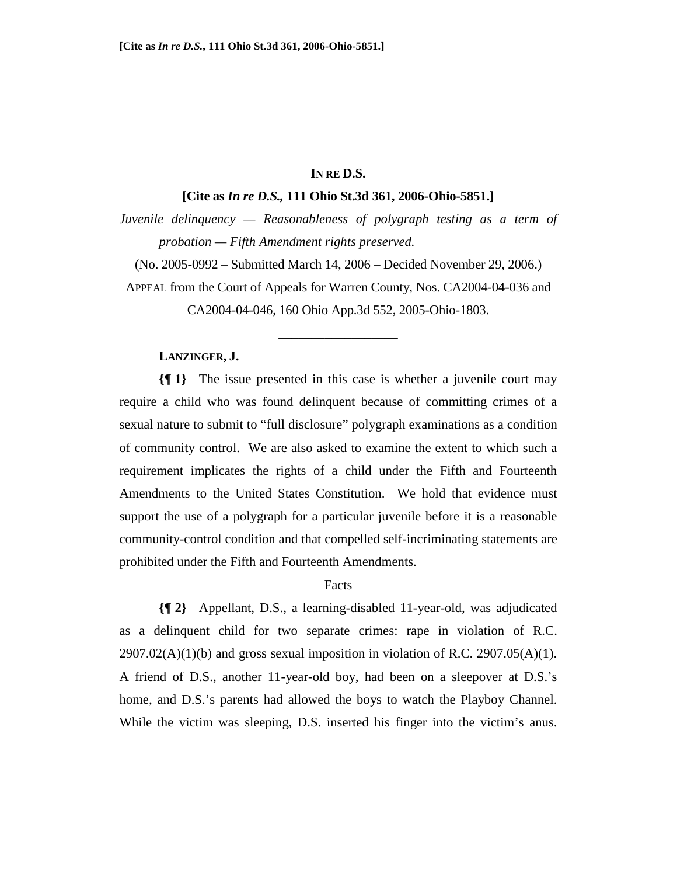## **IN RE D.S.**

### **[Cite as** *In re D.S.,* **111 Ohio St.3d 361, 2006-Ohio-5851.]**

*Juvenile delinquency — Reasonableness of polygraph testing as a term of probation — Fifth Amendment rights preserved.*

(No. 2005-0992 – Submitted March 14, 2006 – Decided November 29, 2006.)

APPEAL from the Court of Appeals for Warren County, Nos. CA2004-04-036 and CA2004-04-046, 160 Ohio App.3d 552, 2005-Ohio-1803.

\_\_\_\_\_\_\_\_\_\_\_\_\_\_\_\_\_\_

### **LANZINGER, J.**

**{¶ 1}** The issue presented in this case is whether a juvenile court may require a child who was found delinquent because of committing crimes of a sexual nature to submit to "full disclosure" polygraph examinations as a condition of community control. We are also asked to examine the extent to which such a requirement implicates the rights of a child under the Fifth and Fourteenth Amendments to the United States Constitution. We hold that evidence must support the use of a polygraph for a particular juvenile before it is a reasonable community-control condition and that compelled self-incriminating statements are prohibited under the Fifth and Fourteenth Amendments.

### Facts

**{¶ 2}** Appellant, D.S., a learning-disabled 11-year-old, was adjudicated as a delinquent child for two separate crimes: rape in violation of R.C.  $2907.02(A)(1)(b)$  and gross sexual imposition in violation of R.C.  $2907.05(A)(1)$ . A friend of D.S., another 11-year-old boy, had been on a sleepover at D.S.'s home, and D.S.'s parents had allowed the boys to watch the Playboy Channel. While the victim was sleeping, D.S. inserted his finger into the victim's anus.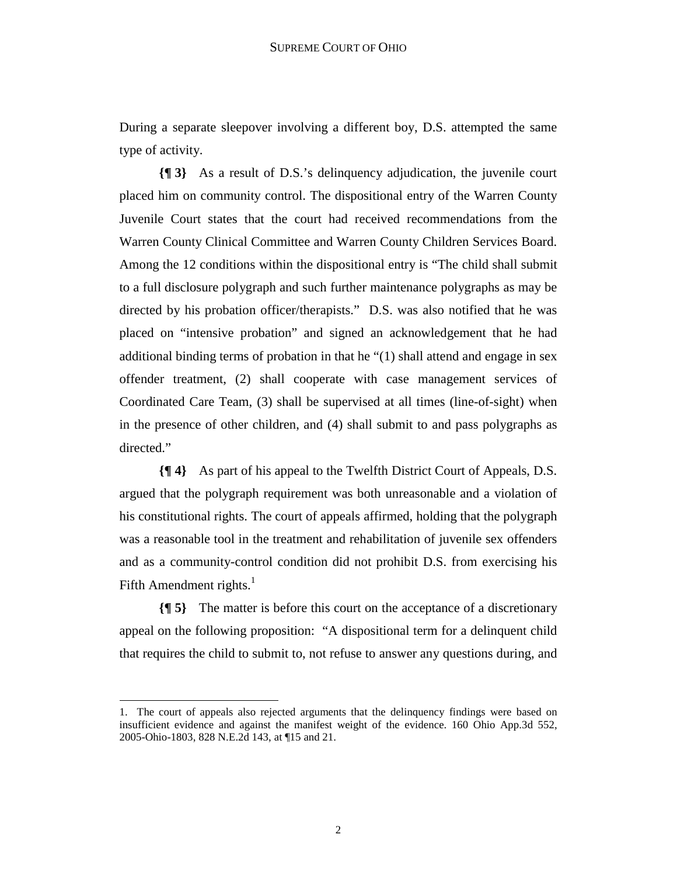During a separate sleepover involving a different boy, D.S. attempted the same type of activity.

**{¶ 3}** As a result of D.S.'s delinquency adjudication, the juvenile court placed him on community control. The dispositional entry of the Warren County Juvenile Court states that the court had received recommendations from the Warren County Clinical Committee and Warren County Children Services Board. Among the 12 conditions within the dispositional entry is "The child shall submit to a full disclosure polygraph and such further maintenance polygraphs as may be directed by his probation officer/therapists." D.S. was also notified that he was placed on "intensive probation" and signed an acknowledgement that he had additional binding terms of probation in that he "(1) shall attend and engage in sex offender treatment, (2) shall cooperate with case management services of Coordinated Care Team, (3) shall be supervised at all times (line-of-sight) when in the presence of other children, and (4) shall submit to and pass polygraphs as directed."

**{¶ 4}** As part of his appeal to the Twelfth District Court of Appeals, D.S. argued that the polygraph requirement was both unreasonable and a violation of his constitutional rights. The court of appeals affirmed, holding that the polygraph was a reasonable tool in the treatment and rehabilitation of juvenile sex offenders and as a community-control condition did not prohibit D.S. from exercising his Fifth Amendment rights. $<sup>1</sup>$ </sup>

**{¶ 5}** The matter is before this court on the acceptance of a discretionary appeal on the following proposition: "A dispositional term for a delinquent child that requires the child to submit to, not refuse to answer any questions during, and

 $\overline{a}$ 

<sup>1.</sup> The court of appeals also rejected arguments that the delinquency findings were based on insufficient evidence and against the manifest weight of the evidence. 160 Ohio App.3d 552, 2005-Ohio-1803, 828 N.E.2d 143, at ¶15 and 21.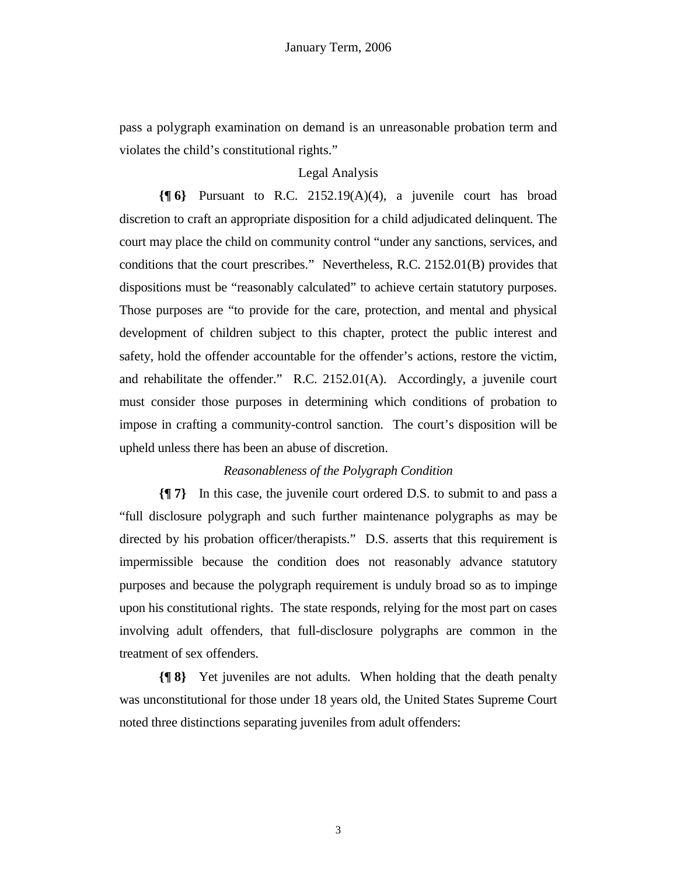pass a polygraph examination on demand is an unreasonable probation term and violates the child's constitutional rights."

# Legal Analysis

**{¶ 6}** Pursuant to R.C. 2152.19(A)(4), a juvenile court has broad discretion to craft an appropriate disposition for a child adjudicated delinquent. The court may place the child on community control "under any sanctions, services, and conditions that the court prescribes." Nevertheless, R.C. 2152.01(B) provides that dispositions must be "reasonably calculated" to achieve certain statutory purposes. Those purposes are "to provide for the care, protection, and mental and physical development of children subject to this chapter, protect the public interest and safety, hold the offender accountable for the offender's actions, restore the victim, and rehabilitate the offender." R.C. 2152.01(A). Accordingly, a juvenile court must consider those purposes in determining which conditions of probation to impose in crafting a community-control sanction. The court's disposition will be upheld unless there has been an abuse of discretion.

## *Reasonableness of the Polygraph Condition*

**{¶ 7}** In this case, the juvenile court ordered D.S. to submit to and pass a "full disclosure polygraph and such further maintenance polygraphs as may be directed by his probation officer/therapists." D.S. asserts that this requirement is impermissible because the condition does not reasonably advance statutory purposes and because the polygraph requirement is unduly broad so as to impinge upon his constitutional rights. The state responds, relying for the most part on cases involving adult offenders, that full-disclosure polygraphs are common in the treatment of sex offenders.

**{¶ 8}** Yet juveniles are not adults. When holding that the death penalty was unconstitutional for those under 18 years old, the United States Supreme Court noted three distinctions separating juveniles from adult offenders: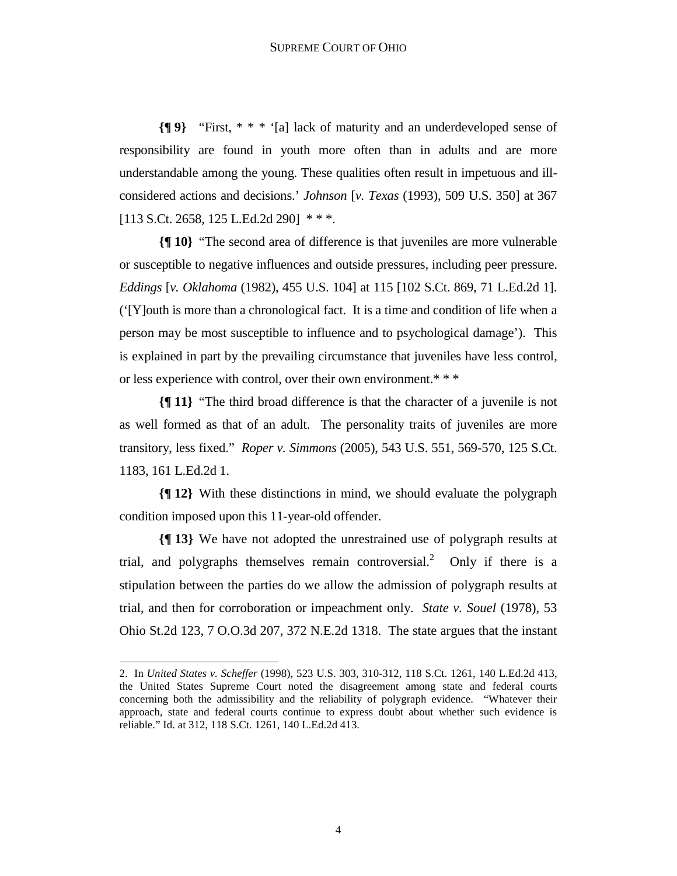**{¶ 9}** "First, \* \* \* '[a] lack of maturity and an underdeveloped sense of responsibility are found in youth more often than in adults and are more understandable among the young. These qualities often result in impetuous and illconsidered actions and decisions.' *Johnson* [*v. Texas* (1993), 509 U.S. 350] at 367 [113 S.Ct. 2658, 125 L.Ed.2d 290] \*\*\*.

**{¶ 10}** "The second area of difference is that juveniles are more vulnerable or susceptible to negative influences and outside pressures, including peer pressure. *Eddings* [*v. Oklahoma* (1982), 455 U.S. 104] at 115 [102 S.Ct. 869, 71 L.Ed.2d 1]. ('[Y]outh is more than a chronological fact. It is a time and condition of life when a person may be most susceptible to influence and to psychological damage'). This is explained in part by the prevailing circumstance that juveniles have less control, or less experience with control, over their own environment.\* \* \*

**{¶ 11}** "The third broad difference is that the character of a juvenile is not as well formed as that of an adult. The personality traits of juveniles are more transitory, less fixed." *Roper v. Simmons* (2005), 543 U.S. 551, 569-570, 125 S.Ct. 1183, 161 L.Ed.2d 1.

**{¶ 12}** With these distinctions in mind, we should evaluate the polygraph condition imposed upon this 11-year-old offender.

**{¶ 13}** We have not adopted the unrestrained use of polygraph results at trial, and polygraphs themselves remain controversial.<sup>2</sup> Only if there is a stipulation between the parties do we allow the admission of polygraph results at trial, and then for corroboration or impeachment only. *State v. Souel* (1978), 53 Ohio St.2d 123, 7 O.O.3d 207, 372 N.E.2d 1318. The state argues that the instant

1

<sup>2.</sup> In *United States v. Scheffer* (1998), 523 U.S. 303, 310-312, 118 S.Ct. 1261, 140 L.Ed.2d 413, the United States Supreme Court noted the disagreement among state and federal courts concerning both the admissibility and the reliability of polygraph evidence. "Whatever their approach, state and federal courts continue to express doubt about whether such evidence is reliable." Id. at 312, 118 S.Ct. 1261, 140 L.Ed.2d 413.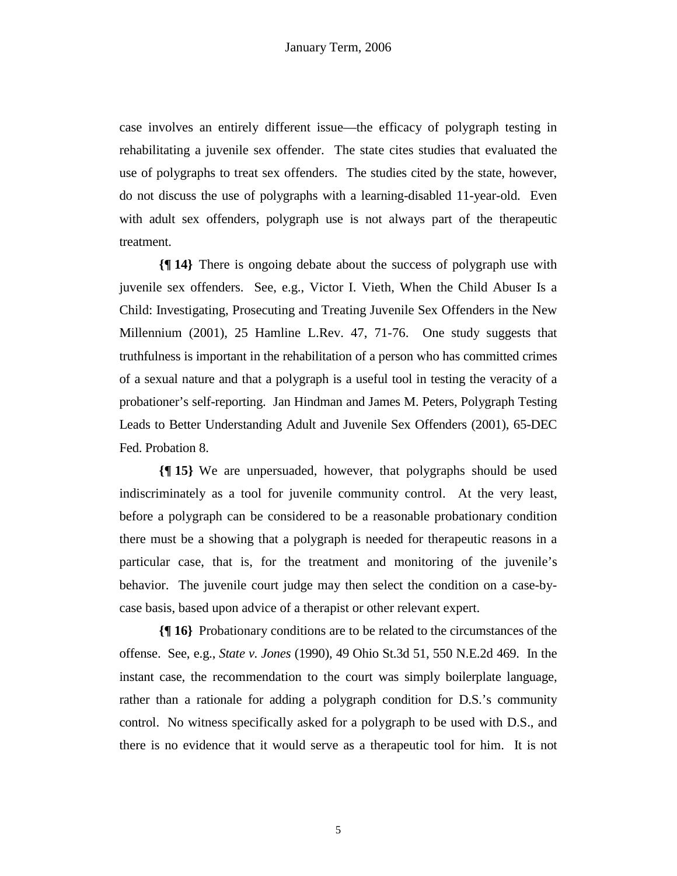case involves an entirely different issue—the efficacy of polygraph testing in rehabilitating a juvenile sex offender. The state cites studies that evaluated the use of polygraphs to treat sex offenders. The studies cited by the state, however, do not discuss the use of polygraphs with a learning-disabled 11-year-old. Even with adult sex offenders, polygraph use is not always part of the therapeutic treatment.

**{¶ 14}** There is ongoing debate about the success of polygraph use with juvenile sex offenders. See, e.g., Victor I. Vieth, When the Child Abuser Is a Child: Investigating, Prosecuting and Treating Juvenile Sex Offenders in the New Millennium (2001), 25 Hamline L.Rev. 47, 71-76. One study suggests that truthfulness is important in the rehabilitation of a person who has committed crimes of a sexual nature and that a polygraph is a useful tool in testing the veracity of a probationer's self-reporting. Jan Hindman and James M. Peters, Polygraph Testing Leads to Better Understanding Adult and Juvenile Sex Offenders (2001), 65-DEC Fed. Probation 8.

**{¶ 15}** We are unpersuaded, however, that polygraphs should be used indiscriminately as a tool for juvenile community control. At the very least, before a polygraph can be considered to be a reasonable probationary condition there must be a showing that a polygraph is needed for therapeutic reasons in a particular case, that is, for the treatment and monitoring of the juvenile's behavior. The juvenile court judge may then select the condition on a case-bycase basis, based upon advice of a therapist or other relevant expert.

**{¶ 16}** Probationary conditions are to be related to the circumstances of the offense. See, e.g., *State v. Jones* (1990), 49 Ohio St.3d 51, 550 N.E.2d 469. In the instant case, the recommendation to the court was simply boilerplate language, rather than a rationale for adding a polygraph condition for D.S.'s community control. No witness specifically asked for a polygraph to be used with D.S., and there is no evidence that it would serve as a therapeutic tool for him. It is not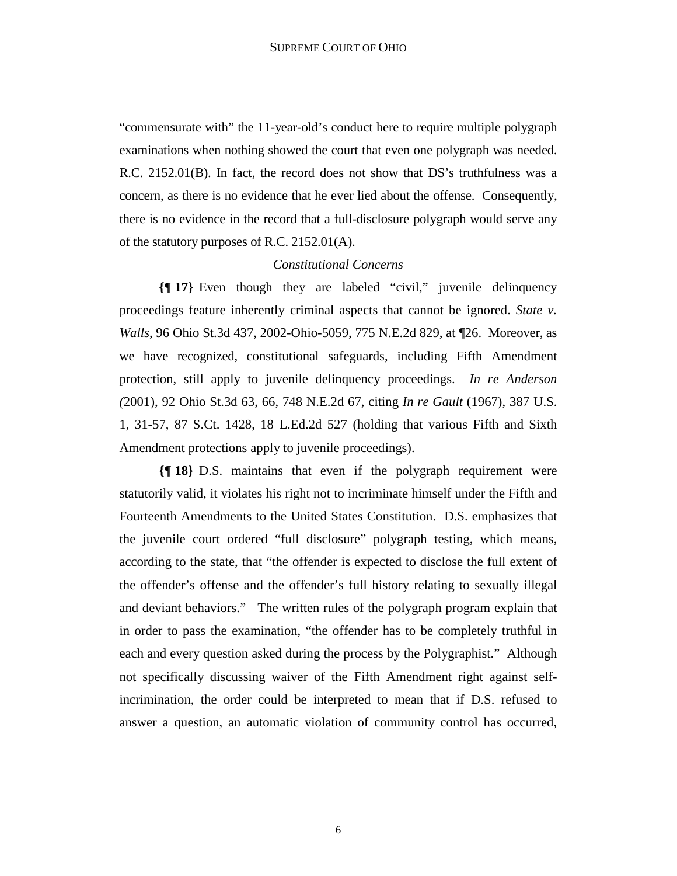"commensurate with" the 11-year-old's conduct here to require multiple polygraph examinations when nothing showed the court that even one polygraph was needed. R.C. 2152.01(B). In fact, the record does not show that DS's truthfulness was a concern, as there is no evidence that he ever lied about the offense. Consequently, there is no evidence in the record that a full-disclosure polygraph would serve any of the statutory purposes of R.C. 2152.01(A).

## *Constitutional Concerns*

**{¶ 17}** Even though they are labeled "civil," juvenile delinquency proceedings feature inherently criminal aspects that cannot be ignored. *State v. Walls*, 96 Ohio St.3d 437, 2002-Ohio-5059, 775 N.E.2d 829, at ¶26. Moreover, as we have recognized, constitutional safeguards, including Fifth Amendment protection, still apply to juvenile delinquency proceedings. *In re Anderson (*2001), 92 Ohio St.3d 63, 66, 748 N.E.2d 67, citing *In re Gault* (1967), 387 U.S. 1, 31-57, 87 S.Ct. 1428, 18 L.Ed.2d 527 (holding that various Fifth and Sixth Amendment protections apply to juvenile proceedings).

**{¶ 18}** D.S. maintains that even if the polygraph requirement were statutorily valid, it violates his right not to incriminate himself under the Fifth and Fourteenth Amendments to the United States Constitution. D.S. emphasizes that the juvenile court ordered "full disclosure" polygraph testing, which means, according to the state, that "the offender is expected to disclose the full extent of the offender's offense and the offender's full history relating to sexually illegal and deviant behaviors." The written rules of the polygraph program explain that in order to pass the examination, "the offender has to be completely truthful in each and every question asked during the process by the Polygraphist." Although not specifically discussing waiver of the Fifth Amendment right against selfincrimination, the order could be interpreted to mean that if D.S. refused to answer a question, an automatic violation of community control has occurred,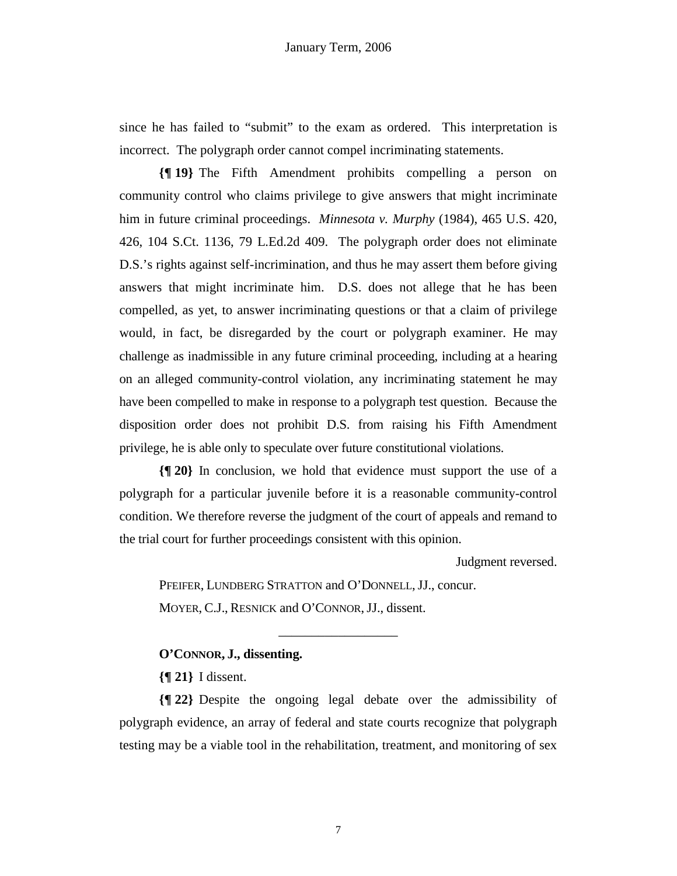since he has failed to "submit" to the exam as ordered. This interpretation is incorrect. The polygraph order cannot compel incriminating statements.

**{¶ 19}** The Fifth Amendment prohibits compelling a person on community control who claims privilege to give answers that might incriminate him in future criminal proceedings. *Minnesota v. Murphy* (1984), 465 U.S. 420, 426, 104 S.Ct. 1136, 79 L.Ed.2d 409. The polygraph order does not eliminate D.S.'s rights against self-incrimination, and thus he may assert them before giving answers that might incriminate him. D.S. does not allege that he has been compelled, as yet, to answer incriminating questions or that a claim of privilege would, in fact, be disregarded by the court or polygraph examiner. He may challenge as inadmissible in any future criminal proceeding, including at a hearing on an alleged community-control violation, any incriminating statement he may have been compelled to make in response to a polygraph test question. Because the disposition order does not prohibit D.S. from raising his Fifth Amendment privilege, he is able only to speculate over future constitutional violations.

**{¶ 20}** In conclusion, we hold that evidence must support the use of a polygraph for a particular juvenile before it is a reasonable community-control condition. We therefore reverse the judgment of the court of appeals and remand to the trial court for further proceedings consistent with this opinion.

Judgment reversed.

PFEIFER, LUNDBERG STRATTON and O'DONNELL, JJ., concur. MOYER, C.J., RESNICK and O'CONNOR, JJ., dissent.

## **O'CONNOR, J., dissenting.**

**{¶ 21}** I dissent.

**{¶ 22}** Despite the ongoing legal debate over the admissibility of polygraph evidence, an array of federal and state courts recognize that polygraph testing may be a viable tool in the rehabilitation, treatment, and monitoring of sex

\_\_\_\_\_\_\_\_\_\_\_\_\_\_\_\_\_\_

7